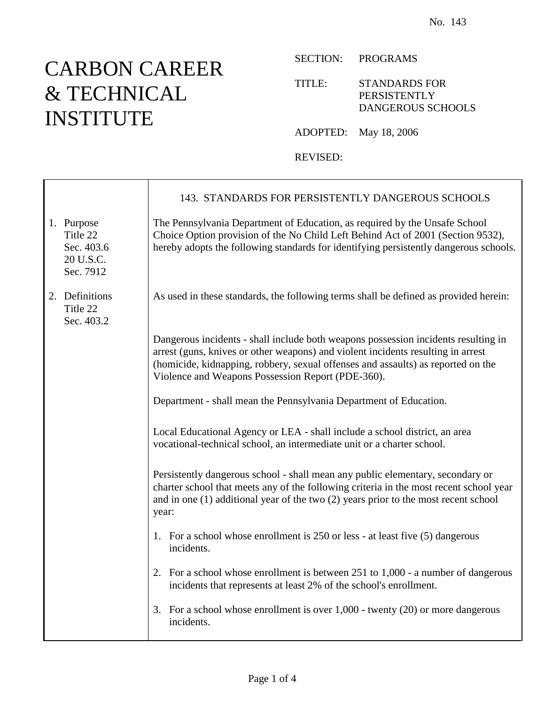## CARBON CAREER & TECHNICAL INSTITUTE

 $\mathsf{r}$ 

SECTION: PROGRAMS

TITLE: STANDARDS FOR PERSISTENTLY DANGEROUS SCHOOLS

ADOPTED: May 18, 2006

REVISED:

|                                                                | 143. STANDARDS FOR PERSISTENTLY DANGEROUS SCHOOLS                                                                                                                                                                                                                                                               |
|----------------------------------------------------------------|-----------------------------------------------------------------------------------------------------------------------------------------------------------------------------------------------------------------------------------------------------------------------------------------------------------------|
| 1. Purpose<br>Title 22<br>Sec. 403.6<br>20 U.S.C.<br>Sec. 7912 | The Pennsylvania Department of Education, as required by the Unsafe School<br>Choice Option provision of the No Child Left Behind Act of 2001 (Section 9532),<br>hereby adopts the following standards for identifying persistently dangerous schools.                                                          |
| 2. Definitions<br>Title 22<br>Sec. 403.2                       | As used in these standards, the following terms shall be defined as provided herein:                                                                                                                                                                                                                            |
|                                                                | Dangerous incidents - shall include both weapons possession incidents resulting in<br>arrest (guns, knives or other weapons) and violent incidents resulting in arrest<br>(homicide, kidnapping, robbery, sexual offenses and assaults) as reported on the<br>Violence and Weapons Possession Report (PDE-360). |
|                                                                | Department - shall mean the Pennsylvania Department of Education.                                                                                                                                                                                                                                               |
|                                                                | Local Educational Agency or LEA - shall include a school district, an area<br>vocational-technical school, an intermediate unit or a charter school.                                                                                                                                                            |
|                                                                | Persistently dangerous school - shall mean any public elementary, secondary or<br>charter school that meets any of the following criteria in the most recent school year<br>and in one $(1)$ additional year of the two $(2)$ years prior to the most recent school<br>year:                                    |
|                                                                | 1. For a school whose enrollment is 250 or less - at least five (5) dangerous<br>incidents.                                                                                                                                                                                                                     |
|                                                                | 2. For a school whose enrollment is between 251 to 1,000 - a number of dangerous<br>incidents that represents at least 2% of the school's enrollment.                                                                                                                                                           |
|                                                                | 3. For a school whose enrollment is over $1,000$ - twenty $(20)$ or more dangerous<br>incidents.                                                                                                                                                                                                                |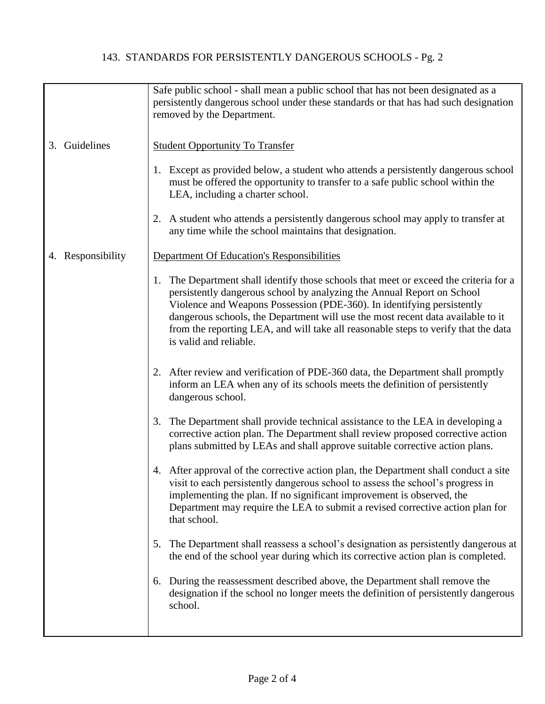## 143. STANDARDS FOR PERSISTENTLY DANGEROUS SCHOOLS - Pg. 2

|                   | Safe public school - shall mean a public school that has not been designated as a<br>persistently dangerous school under these standards or that has had such designation<br>removed by the Department.                                                                                                                                                                                                                                         |
|-------------------|-------------------------------------------------------------------------------------------------------------------------------------------------------------------------------------------------------------------------------------------------------------------------------------------------------------------------------------------------------------------------------------------------------------------------------------------------|
| Guidelines<br>3.  | <b>Student Opportunity To Transfer</b>                                                                                                                                                                                                                                                                                                                                                                                                          |
|                   | 1. Except as provided below, a student who attends a persistently dangerous school<br>must be offered the opportunity to transfer to a safe public school within the<br>LEA, including a charter school.                                                                                                                                                                                                                                        |
|                   | 2. A student who attends a persistently dangerous school may apply to transfer at<br>any time while the school maintains that designation.                                                                                                                                                                                                                                                                                                      |
| 4. Responsibility | Department Of Education's Responsibilities                                                                                                                                                                                                                                                                                                                                                                                                      |
|                   | The Department shall identify those schools that meet or exceed the criteria for a<br>1.<br>persistently dangerous school by analyzing the Annual Report on School<br>Violence and Weapons Possession (PDE-360). In identifying persistently<br>dangerous schools, the Department will use the most recent data available to it<br>from the reporting LEA, and will take all reasonable steps to verify that the data<br>is valid and reliable. |
|                   | 2. After review and verification of PDE-360 data, the Department shall promptly<br>inform an LEA when any of its schools meets the definition of persistently<br>dangerous school.                                                                                                                                                                                                                                                              |
|                   | 3. The Department shall provide technical assistance to the LEA in developing a<br>corrective action plan. The Department shall review proposed corrective action<br>plans submitted by LEAs and shall approve suitable corrective action plans.                                                                                                                                                                                                |
|                   | 4. After approval of the corrective action plan, the Department shall conduct a site<br>visit to each persistently dangerous school to assess the school's progress in<br>implementing the plan. If no significant improvement is observed, the<br>Department may require the LEA to submit a revised corrective action plan for<br>that school.                                                                                                |
|                   | The Department shall reassess a school's designation as persistently dangerous at<br>5.<br>the end of the school year during which its corrective action plan is completed.                                                                                                                                                                                                                                                                     |
|                   | 6. During the reassessment described above, the Department shall remove the<br>designation if the school no longer meets the definition of persistently dangerous<br>school.                                                                                                                                                                                                                                                                    |
|                   |                                                                                                                                                                                                                                                                                                                                                                                                                                                 |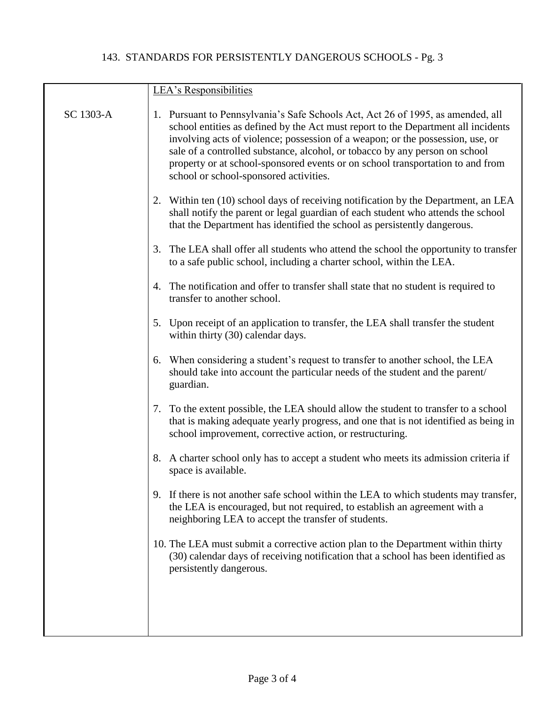## 143. STANDARDS FOR PERSISTENTLY DANGEROUS SCHOOLS - Pg. 3

|           | LEA's Responsibilities                                                                                                                                                                                                                                                                                                                                                                                                                                            |
|-----------|-------------------------------------------------------------------------------------------------------------------------------------------------------------------------------------------------------------------------------------------------------------------------------------------------------------------------------------------------------------------------------------------------------------------------------------------------------------------|
| SC 1303-A | 1. Pursuant to Pennsylvania's Safe Schools Act, Act 26 of 1995, as amended, all<br>school entities as defined by the Act must report to the Department all incidents<br>involving acts of violence; possession of a weapon; or the possession, use, or<br>sale of a controlled substance, alcohol, or tobacco by any person on school<br>property or at school-sponsored events or on school transportation to and from<br>school or school-sponsored activities. |
|           | 2. Within ten (10) school days of receiving notification by the Department, an LEA<br>shall notify the parent or legal guardian of each student who attends the school<br>that the Department has identified the school as persistently dangerous.                                                                                                                                                                                                                |
|           | The LEA shall offer all students who attend the school the opportunity to transfer<br>3.<br>to a safe public school, including a charter school, within the LEA.                                                                                                                                                                                                                                                                                                  |
|           | 4. The notification and offer to transfer shall state that no student is required to<br>transfer to another school.                                                                                                                                                                                                                                                                                                                                               |
|           | 5. Upon receipt of an application to transfer, the LEA shall transfer the student<br>within thirty (30) calendar days.                                                                                                                                                                                                                                                                                                                                            |
|           | 6. When considering a student's request to transfer to another school, the LEA<br>should take into account the particular needs of the student and the parent/<br>guardian.                                                                                                                                                                                                                                                                                       |
|           | 7. To the extent possible, the LEA should allow the student to transfer to a school<br>that is making adequate yearly progress, and one that is not identified as being in<br>school improvement, corrective action, or restructuring.                                                                                                                                                                                                                            |
|           | 8. A charter school only has to accept a student who meets its admission criteria if<br>space is available.                                                                                                                                                                                                                                                                                                                                                       |
|           | 9. If there is not another safe school within the LEA to which students may transfer,<br>the LEA is encouraged, but not required, to establish an agreement with a<br>neighboring LEA to accept the transfer of students.                                                                                                                                                                                                                                         |
|           | 10. The LEA must submit a corrective action plan to the Department within thirty<br>(30) calendar days of receiving notification that a school has been identified as<br>persistently dangerous.                                                                                                                                                                                                                                                                  |
|           |                                                                                                                                                                                                                                                                                                                                                                                                                                                                   |
|           |                                                                                                                                                                                                                                                                                                                                                                                                                                                                   |